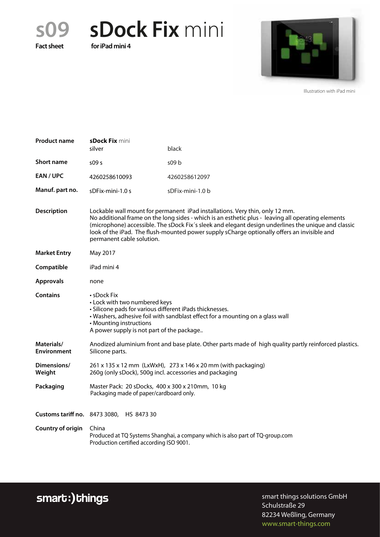**s09 sDock Fix** mini

**Fact sheet for iPad mini 4**



Illustration with iPad mini

| <b>Product name</b>              | sDock Fix mini<br>silver                                                                                                                                                                                                                                                                                                                                                                                              | black            |
|----------------------------------|-----------------------------------------------------------------------------------------------------------------------------------------------------------------------------------------------------------------------------------------------------------------------------------------------------------------------------------------------------------------------------------------------------------------------|------------------|
| <b>Short name</b>                | 509 <sub>5</sub>                                                                                                                                                                                                                                                                                                                                                                                                      | 509 b            |
| EAN / UPC                        | 4260258610093                                                                                                                                                                                                                                                                                                                                                                                                         | 4260258612097    |
| Manuf. part no.                  | sDFix-mini-1.0 s                                                                                                                                                                                                                                                                                                                                                                                                      | sDFix-mini-1.0 b |
| <b>Description</b>               | Lockable wall mount for permanent iPad installations. Very thin, only 12 mm.<br>No additional frame on the long sides - which is an esthetic plus - leaving all operating elements<br>(microphone) accessible. The sDock Fix's sleek and elegant design underlines the unique and classic<br>look of the iPad. The flush-mounted power supply sCharge optionally offers an invisible and<br>permanent cable solution. |                  |
| <b>Market Entry</b>              | May 2017                                                                                                                                                                                                                                                                                                                                                                                                              |                  |
| Compatible                       | iPad mini 4                                                                                                                                                                                                                                                                                                                                                                                                           |                  |
| <b>Approvals</b>                 | none                                                                                                                                                                                                                                                                                                                                                                                                                  |                  |
| <b>Contains</b>                  | $\boldsymbol{\cdot}$ sDock Fix<br>• Lock with two numbered keys<br>· Silicone pads for various different iPads thicknesses.<br>• Washers, adhesive foil with sandblast effect for a mounting on a glass wall<br>• Mounting instructions<br>A power supply is not part of the package                                                                                                                                  |                  |
| Materials/<br><b>Environment</b> | Anodized aluminium front and base plate. Other parts made of high quality partly reinforced plastics.<br>Silicone parts.                                                                                                                                                                                                                                                                                              |                  |
| Dimensions/<br>Weight            | 261 x 135 x 12 mm (LxWxH), 273 x 146 x 20 mm (with packaging)<br>260g (only sDock), 500g incl. accessories and packaging                                                                                                                                                                                                                                                                                              |                  |
| Packaging                        | Master Pack: 20 sDocks, 400 x 300 x 210mm, 10 kg<br>Packaging made of paper/cardboard only.                                                                                                                                                                                                                                                                                                                           |                  |
|                                  | Customs tariff no. 8473 3080, HS 8473 30                                                                                                                                                                                                                                                                                                                                                                              |                  |
| <b>Country of origin</b>         | China<br>Produced at TQ Systems Shanghai, a company which is also part of TQ-group.com<br>Production certified according ISO 9001.                                                                                                                                                                                                                                                                                    |                  |

smart:)things

smart things solutions GmbH Schulstraße 29 82234 Weßling, Germany www.smart-things.com